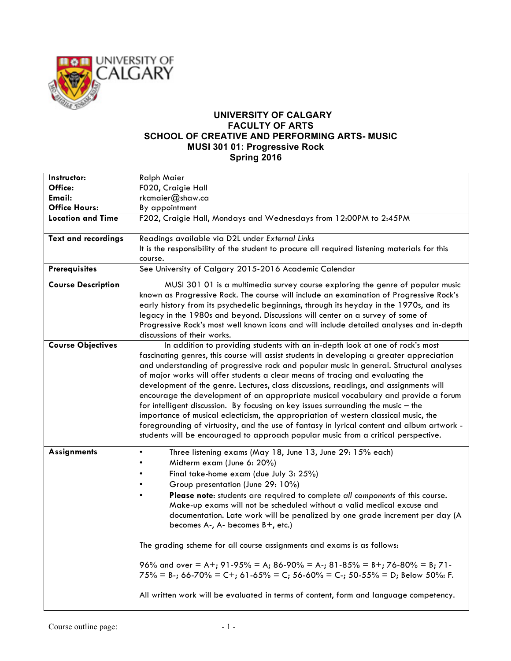

## **UNIVERSITY OF CALGARY FACULTY OF ARTS SCHOOL OF CREATIVE AND PERFORMING ARTS- MUSIC MUSI 301 01: Progressive Rock Spring 2016**

| Instructor:                | <b>Ralph Maier</b>                                                                                                                                                                                                                                                                                                                                                                                                                                                                                                                                                                                                                                                                                                                                                                                                                                                                                        |
|----------------------------|-----------------------------------------------------------------------------------------------------------------------------------------------------------------------------------------------------------------------------------------------------------------------------------------------------------------------------------------------------------------------------------------------------------------------------------------------------------------------------------------------------------------------------------------------------------------------------------------------------------------------------------------------------------------------------------------------------------------------------------------------------------------------------------------------------------------------------------------------------------------------------------------------------------|
| Office:                    | F020, Craigie Hall                                                                                                                                                                                                                                                                                                                                                                                                                                                                                                                                                                                                                                                                                                                                                                                                                                                                                        |
| Email:                     | rkcmaier@shaw.ca                                                                                                                                                                                                                                                                                                                                                                                                                                                                                                                                                                                                                                                                                                                                                                                                                                                                                          |
| <b>Office Hours:</b>       | By appointment                                                                                                                                                                                                                                                                                                                                                                                                                                                                                                                                                                                                                                                                                                                                                                                                                                                                                            |
| <b>Location and Time</b>   | F202, Craigie Hall, Mondays and Wednesdays from 12:00PM to 2:45PM                                                                                                                                                                                                                                                                                                                                                                                                                                                                                                                                                                                                                                                                                                                                                                                                                                         |
| <b>Text and recordings</b> | Readings available via D2L under External Links                                                                                                                                                                                                                                                                                                                                                                                                                                                                                                                                                                                                                                                                                                                                                                                                                                                           |
|                            | It is the responsibility of the student to procure all required listening materials for this<br>course.                                                                                                                                                                                                                                                                                                                                                                                                                                                                                                                                                                                                                                                                                                                                                                                                   |
| <b>Prerequisites</b>       | See University of Calgary 2015-2016 Academic Calendar                                                                                                                                                                                                                                                                                                                                                                                                                                                                                                                                                                                                                                                                                                                                                                                                                                                     |
| <b>Course Description</b>  | MUSI 301 01 is a multimedia survey course exploring the genre of popular music<br>known as Progressive Rock. The course will include an examination of Progressive Rock's<br>early history from its psychedelic beginnings, through its heyday in the 1970s, and its<br>legacy in the 1980s and beyond. Discussions will center on a survey of some of<br>Progressive Rock's most well known icons and will include detailed analyses and in-depth<br>discussions of their works.                                                                                                                                                                                                                                                                                                                                                                                                                         |
| <b>Course Objectives</b>   | In addition to providing students with an in-depth look at one of rock's most<br>fascinating genres, this course will assist students in developing a greater appreciation<br>and understanding of progressive rock and popular music in general. Structural analyses<br>of major works will offer students a clear means of tracing and evaluating the<br>development of the genre. Lectures, class discussions, readings, and assignments will<br>encourage the development of an appropriate musical vocabulary and provide a forum<br>for intelligent discussion. By focusing on key issues surrounding the music $-$ the<br>importance of musical eclecticism, the appropriation of western classical music, the<br>foregrounding of virtuosity, and the use of fantasy in lyrical content and album artwork -<br>students will be encouraged to approach popular music from a critical perspective. |
| <b>Assignments</b>         | Three listening exams (May 18, June 13, June 29: 15% each)<br>$\bullet$<br>Midterm exam (June 6: 20%)<br>Final take-home exam (due July 3: 25%)<br>Group presentation (June 29: 10%)<br>$\bullet$<br>Please note: students are required to complete all components of this course.<br>Make-up exams will not be scheduled without a valid medical excuse and<br>documentation. Late work will be penalized by one grade increment per day (A<br>becomes A-, A- becomes B+, etc.)<br>The grading scheme for all course assignments and exams is as follows:<br>96% and over = A+; 91-95% = A; 86-90% = A-; 81-85% = B+; 76-80% = B; 71-<br>$75\% = B$ -; 66-70% = C+; 61-65% = C; 56-60% = C-; 50-55% = D; Below 50%: F.<br>All written work will be evaluated in terms of content, form and language competency.                                                                                          |